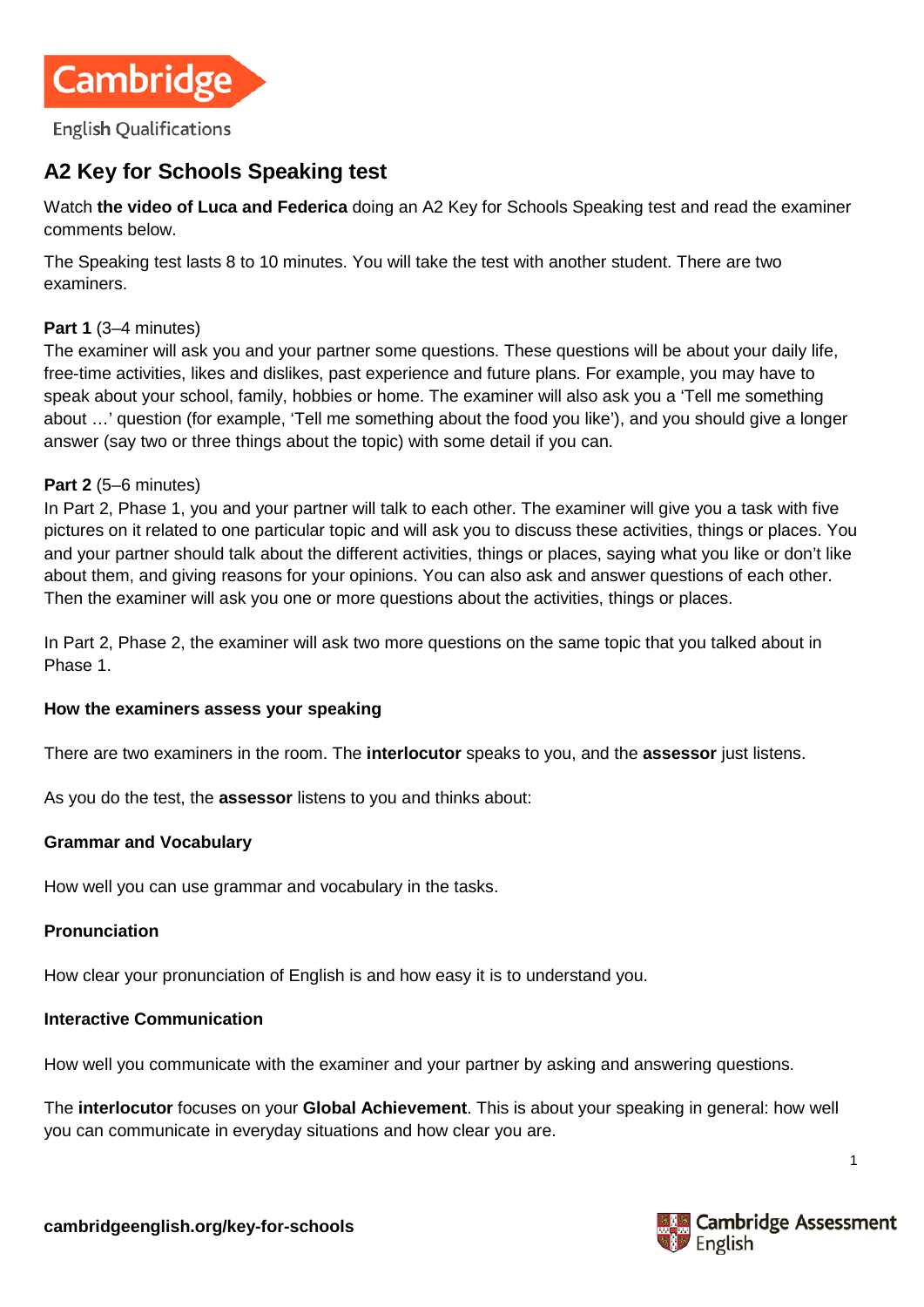

# **A2 Key for Schools Speaking test**

Watch **[the video of Luca and Federica](https://www.youtube.com/watch?v=-DNilMthxx8)** doing an A2 Key for Schools Speaking test and read the examiner comments below.

The Speaking test lasts 8 to 10 minutes. You will take the test with another student. There are two examiners.

#### **Part 1** (3–4 minutes)

The examiner will ask you and your partner some questions. These questions will be about your daily life, free-time activities, likes and dislikes, past experience and future plans. For example, you may have to speak about your school, family, hobbies or home. The examiner will also ask you a 'Tell me something about …' question (for example, 'Tell me something about the food you like'), and you should give a longer answer (say two or three things about the topic) with some detail if you can.

#### **Part 2** (5–6 minutes)

In Part 2, Phase 1, you and your partner will talk to each other. The examiner will give you a task with five pictures on it related to one particular topic and will ask you to discuss these activities, things or places. You and your partner should talk about the different activities, things or places, saying what you like or don't like about them, and giving reasons for your opinions. You can also ask and answer questions of each other. Then the examiner will ask you one or more questions about the activities, things or places.

In Part 2, Phase 2, the examiner will ask two more questions on the same topic that you talked about in Phase 1.

#### **How the examiners assess your speaking**

There are two examiners in the room. The **interlocutor** speaks to you, and the **assessor** just listens.

As you do the test, the **assessor** listens to you and thinks about:

#### **Grammar and Vocabulary**

How well you can use grammar and vocabulary in the tasks.

#### **Pronunciation**

How clear your pronunciation of English is and how easy it is to understand you.

### **Interactive Communication**

How well you communicate with the examiner and your partner by asking and answering questions.

The **interlocutor** focuses on your **Global Achievement**. This is about your speaking in general: how well you can communicate in everyday situations and how clear you are.



1

**cambridgeenglish.org/key-for-schools**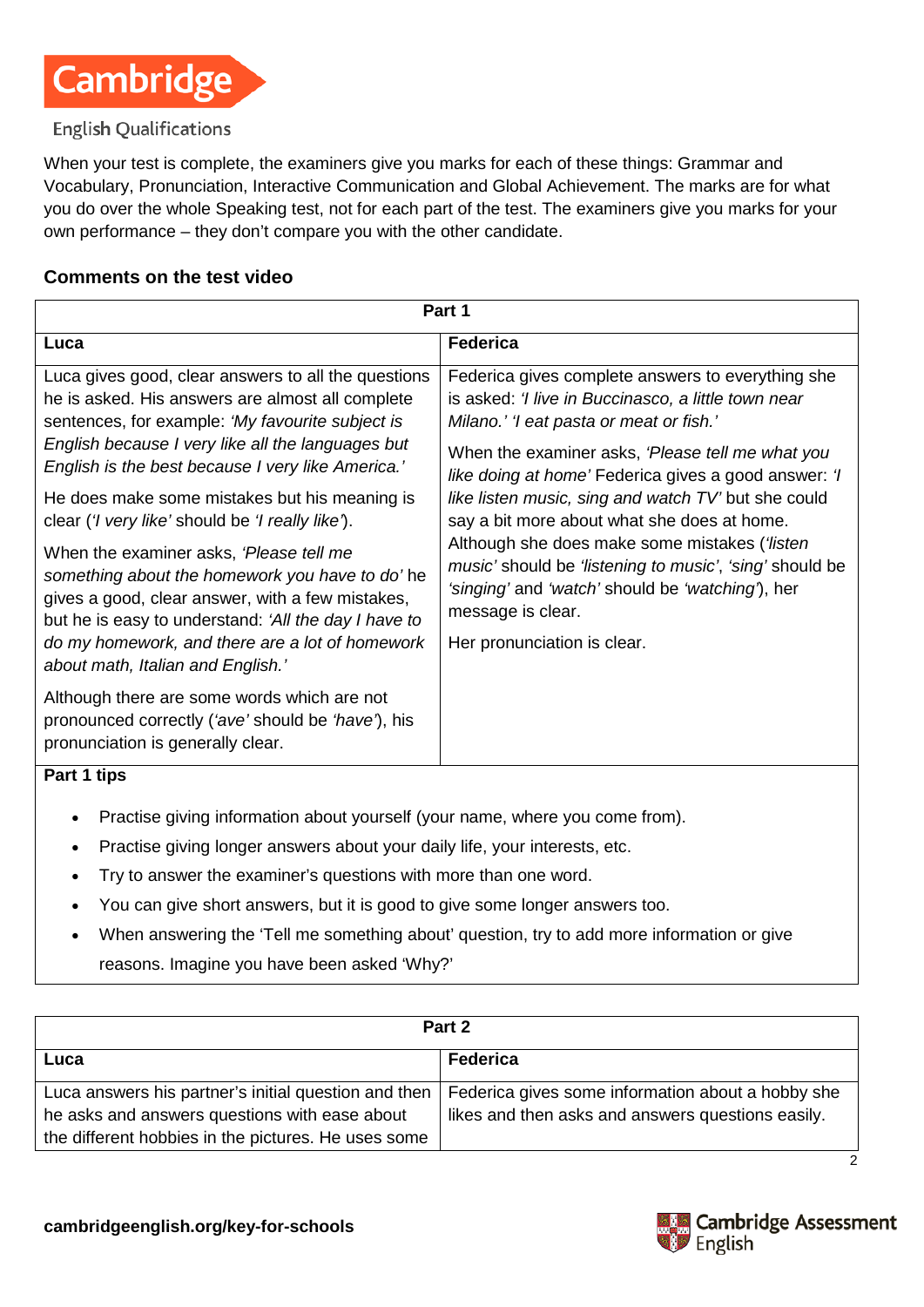

### **English Qualifications**

When your test is complete, the examiners give you marks for each of these things: Grammar and Vocabulary, Pronunciation, Interactive Communication and Global Achievement. The marks are for what you do over the whole Speaking test, not for each part of the test. The examiners give you marks for your own performance – they don't compare you with the other candidate.

### **Comments on the test video**

| Part 1                                                                                                                                                                                                                                                                                                                                                                                     |                                                                                                                                                                                                                                                                                                                                                                                                                                                                                                                                                                                           |  |  |  |
|--------------------------------------------------------------------------------------------------------------------------------------------------------------------------------------------------------------------------------------------------------------------------------------------------------------------------------------------------------------------------------------------|-------------------------------------------------------------------------------------------------------------------------------------------------------------------------------------------------------------------------------------------------------------------------------------------------------------------------------------------------------------------------------------------------------------------------------------------------------------------------------------------------------------------------------------------------------------------------------------------|--|--|--|
| Luca                                                                                                                                                                                                                                                                                                                                                                                       | <b>Federica</b>                                                                                                                                                                                                                                                                                                                                                                                                                                                                                                                                                                           |  |  |  |
| Luca gives good, clear answers to all the questions<br>he is asked. His answers are almost all complete<br>sentences, for example: 'My favourite subject is<br>English because I very like all the languages but<br>English is the best because I very like America.'<br>He does make some mistakes but his meaning is<br>clear (' <i>I</i> very like' should be ' <i>I</i> really like'). | Federica gives complete answers to everything she<br>is asked: 'I live in Buccinasco, a little town near<br>Milano.' 'I eat pasta or meat or fish.'<br>When the examiner asks, 'Please tell me what you<br>like doing at home' Federica gives a good answer: 'I<br>like listen music, sing and watch TV' but she could<br>say a bit more about what she does at home.<br>Although she does make some mistakes ('listen<br>music' should be 'listening to music', 'sing' should be<br>'singing' and 'watch' should be 'watching'), her<br>message is clear.<br>Her pronunciation is clear. |  |  |  |
| When the examiner asks, 'Please tell me<br>something about the homework you have to do'he<br>gives a good, clear answer, with a few mistakes,<br>but he is easy to understand: 'All the day I have to<br>do my homework, and there are a lot of homework<br>about math, Italian and English.'                                                                                              |                                                                                                                                                                                                                                                                                                                                                                                                                                                                                                                                                                                           |  |  |  |
| Although there are some words which are not<br>pronounced correctly ('ave' should be 'have'), his<br>pronunciation is generally clear.                                                                                                                                                                                                                                                     |                                                                                                                                                                                                                                                                                                                                                                                                                                                                                                                                                                                           |  |  |  |
| Part 1 tips                                                                                                                                                                                                                                                                                                                                                                                |                                                                                                                                                                                                                                                                                                                                                                                                                                                                                                                                                                                           |  |  |  |
| Practise giving information about yourself (your name, where you come from).<br>$\bullet$<br>Practise giving longer answers about your daily life, your interests, etc.<br>Try to answer the examiner's questions with more than one word.<br>$\bullet$<br>You can give short answers, but it is good to give some longer answers too.                                                     |                                                                                                                                                                                                                                                                                                                                                                                                                                                                                                                                                                                           |  |  |  |

• When answering the 'Tell me something about' question, try to add more information or give reasons. Imagine you have been asked 'Why?'

| Part 2                                                                                                                                                       |                                                                                                        |  |
|--------------------------------------------------------------------------------------------------------------------------------------------------------------|--------------------------------------------------------------------------------------------------------|--|
| Luca                                                                                                                                                         | Federica                                                                                               |  |
| Luca answers his partner's initial question and then<br>he asks and answers questions with ease about<br>the different hobbies in the pictures. He uses some | Federica gives some information about a hobby she<br>likes and then asks and answers questions easily. |  |
|                                                                                                                                                              |                                                                                                        |  |

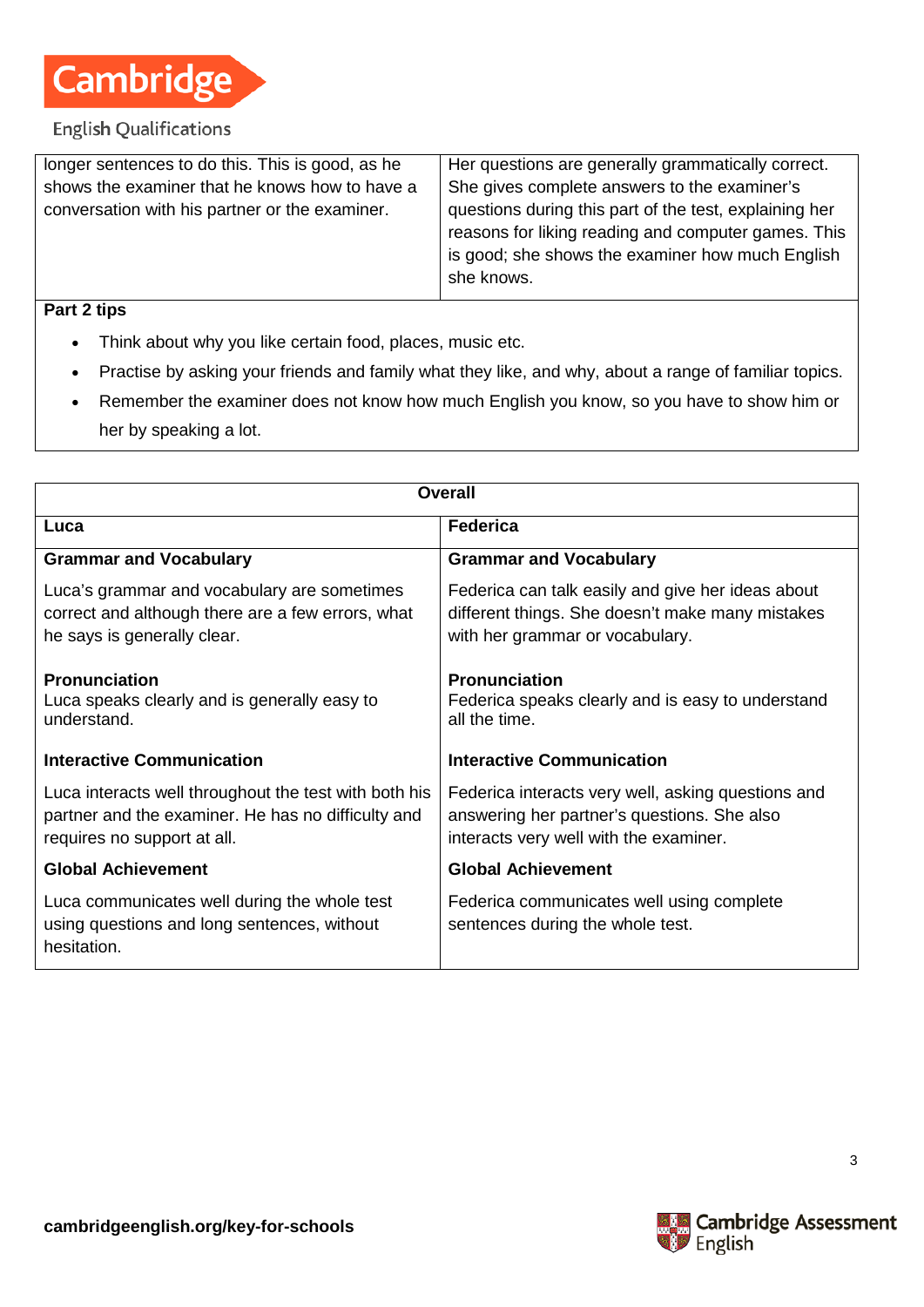

### **English Qualifications**

| longer sentences to do this. This is good, as he | Her questions are generally grammatically correct.             |  |
|--------------------------------------------------|----------------------------------------------------------------|--|
| shows the examiner that he knows how to have a   | She gives complete answers to the examiner's                   |  |
| conversation with his partner or the examiner.   | questions during this part of the test, explaining her         |  |
|                                                  | reasons for liking reading and computer games. This            |  |
|                                                  | is good; she shows the examiner how much English<br>she knows. |  |
|                                                  |                                                                |  |

### **Part 2 tips**

- Think about why you like certain food, places, music etc.
- Practise by asking your friends and family what they like, and why, about a range of familiar topics.
- Remember the examiner does not know how much English you know, so you have to show him or her by speaking a lot.

| <b>Overall</b>                                                                                                                             |                                                                                                                                             |  |
|--------------------------------------------------------------------------------------------------------------------------------------------|---------------------------------------------------------------------------------------------------------------------------------------------|--|
| Luca                                                                                                                                       | <b>Federica</b>                                                                                                                             |  |
| <b>Grammar and Vocabulary</b>                                                                                                              | <b>Grammar and Vocabulary</b>                                                                                                               |  |
| Luca's grammar and vocabulary are sometimes<br>correct and although there are a few errors, what<br>he says is generally clear.            | Federica can talk easily and give her ideas about<br>different things. She doesn't make many mistakes<br>with her grammar or vocabulary.    |  |
| <b>Pronunciation</b><br>Luca speaks clearly and is generally easy to<br>understand.                                                        | <b>Pronunciation</b><br>Federica speaks clearly and is easy to understand<br>all the time.                                                  |  |
| <b>Interactive Communication</b>                                                                                                           | <b>Interactive Communication</b>                                                                                                            |  |
| Luca interacts well throughout the test with both his<br>partner and the examiner. He has no difficulty and<br>requires no support at all. | Federica interacts very well, asking questions and<br>answering her partner's questions. She also<br>interacts very well with the examiner. |  |
| <b>Global Achievement</b>                                                                                                                  | <b>Global Achievement</b>                                                                                                                   |  |
| Luca communicates well during the whole test<br>using questions and long sentences, without<br>hesitation.                                 | Federica communicates well using complete<br>sentences during the whole test.                                                               |  |